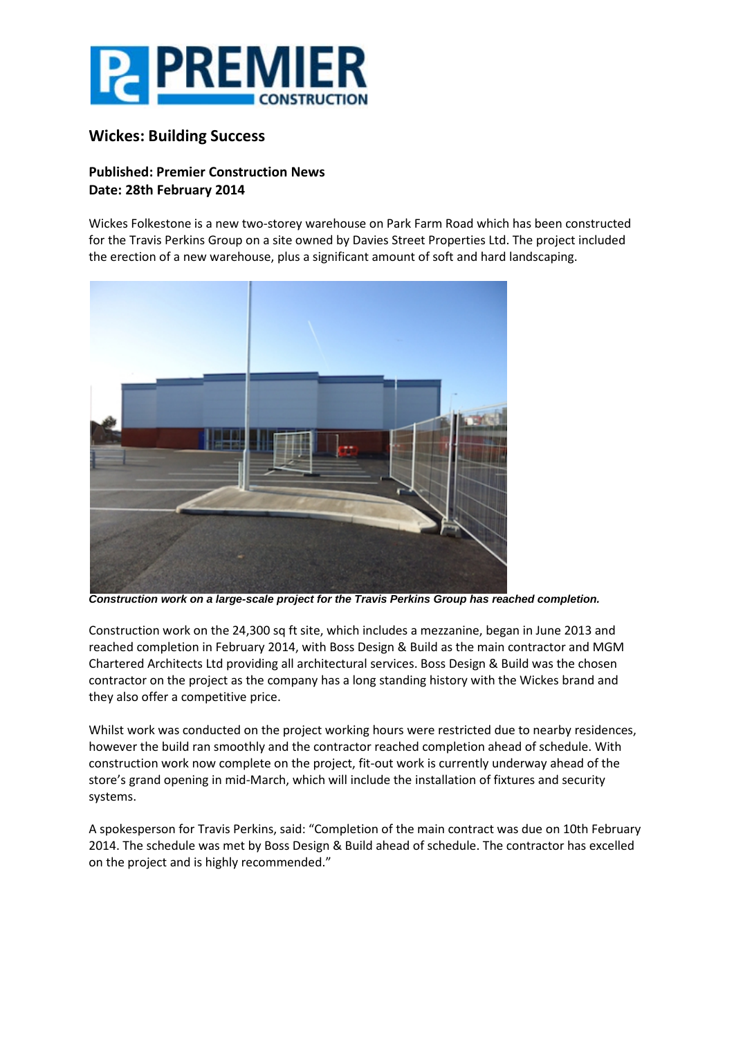

## **Wickes: Building Success**

## **Published: Premier Construction News Date: 28th February 2014**

Wickes Folkestone is a new two-storey warehouse on Park Farm Road which has been constructed for the Travis Perkins Group on a site owned by Davies Street Properties Ltd. The project included the erection of a new warehouse, plus a significant amount of soft and hard landscaping.



*Construction work on a large-scale project for the Travis Perkins Group has reached completion.*

Construction work on the 24,300 sq ft site, which includes a mezzanine, began in June 2013 and reached completion in February 2014, with Boss Design & Build as the main contractor and MGM Chartered Architects Ltd providing all architectural services. Boss Design & Build was the chosen contractor on the project as the company has a long standing history with the Wickes brand and they also offer a competitive price.

Whilst work was conducted on the project working hours were restricted due to nearby residences, however the build ran smoothly and the contractor reached completion ahead of schedule. With construction work now complete on the project, fit-out work is currently underway ahead of the store's grand opening in mid-March, which will include the installation of fixtures and security systems.

A spokesperson for Travis Perkins, said: "Completion of the main contract was due on 10th February 2014. The schedule was met by Boss Design & Build ahead of schedule. The contractor has excelled on the project and is highly recommended."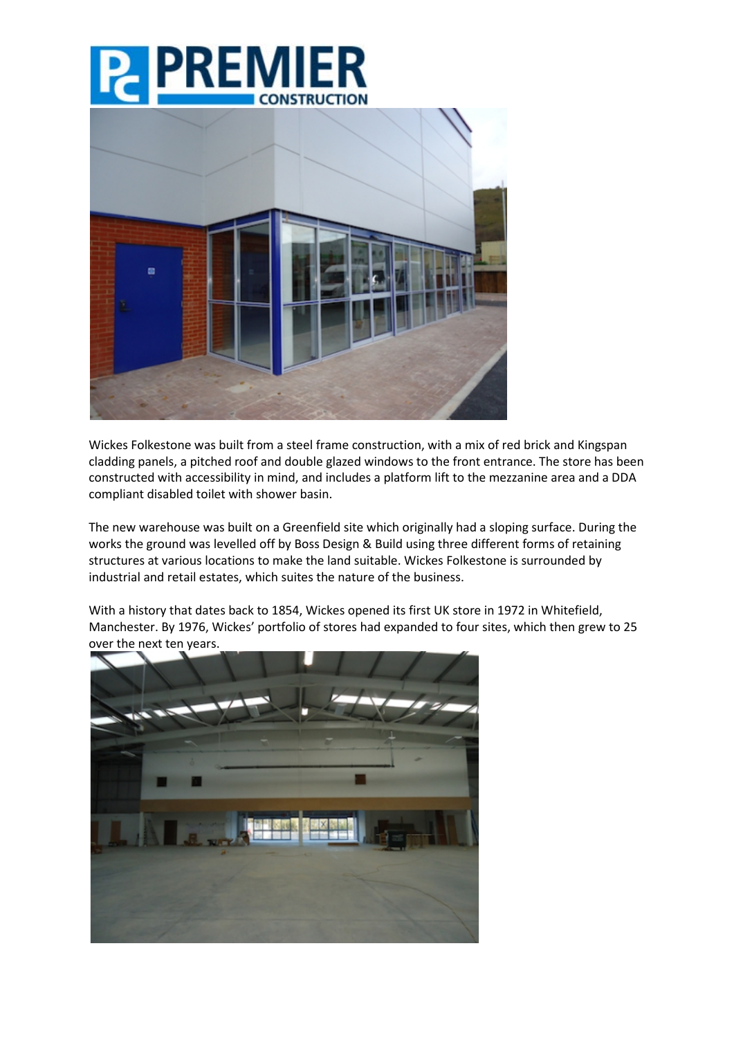



Wickes Folkestone was built from a steel frame construction, with a mix of red brick and Kingspan cladding panels, a pitched roof and double glazed windows to the front entrance. The store has been constructed with accessibility in mind, and includes a platform lift to the mezzanine area and a DDA compliant disabled toilet with shower basin.

The new warehouse was built on a Greenfield site which originally had a sloping surface. During the works the ground was levelled off by Boss Design & Build using three different forms of retaining structures at various locations to make the land suitable. Wickes Folkestone is surrounded by industrial and retail estates, which suites the nature of the business.

With a history that dates back to 1854, Wickes opened its first UK store in 1972 in Whitefield, Manchester. By 1976, Wickes' portfolio of stores had expanded to four sites, which then grew to 25 over the next ten years.